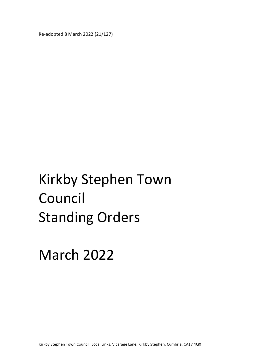Re-adopted 8 March 2022 (21/127)

# Kirkby Stephen Town Council Standing Orders

March 2022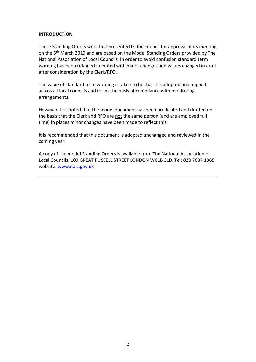## INTRODUCTION

These Standing Orders were first presented to the council for approval at its meeting on the 5<sup>th</sup> March 2019 and are based on the Model Standing Orders provided by The National Association of Local Councils. In order to avoid confusion standard term wording has been retained unedited with minor changes and values changed in draft after consideration by the Clerk/RFO.

The value of standard term wording is taken to be that it is adopted and applied across all local councils and forms the basis of compliance with monitoring arrangements.

However, It is noted that the model document has been predicated and drafted on the basis that the Clerk and RFO are not the same person (and are employed full time) in places minor changes have been made to reflect this.

It is recommended that this document is adopted unchanged and reviewed in the coming year.

A copy of the model Standing Orders is available from The National Association of Local Councils. 109 GREAT RUSSELL STREET LONDON WC1B 3LD. Tel: 020 7637 1865 website: www.nalc.gov.uk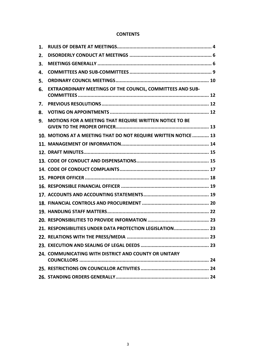## **CONTENTS**

| EXTRAORDINARY MEETINGS OF THE COUNCIL, COMMITTEES AND SUB-      |  |
|-----------------------------------------------------------------|--|
|                                                                 |  |
|                                                                 |  |
| MOTIONS FOR A MEETING THAT REQUIRE WRITTEN NOTICE TO BE         |  |
| 10. MOTIONS AT A MEETING THAT DO NOT REQUIRE WRITTEN NOTICE  13 |  |
|                                                                 |  |
|                                                                 |  |
|                                                                 |  |
|                                                                 |  |
|                                                                 |  |
|                                                                 |  |
|                                                                 |  |
|                                                                 |  |
|                                                                 |  |
|                                                                 |  |
| 21. RESPONSIBILITIES UNDER DATA PROTECTION LEGISLATION 23       |  |
|                                                                 |  |
|                                                                 |  |
| 24. COMMUNICATING WITH DISTRICT AND COUNTY OR UNITARY           |  |
|                                                                 |  |
|                                                                 |  |
|                                                                 |  |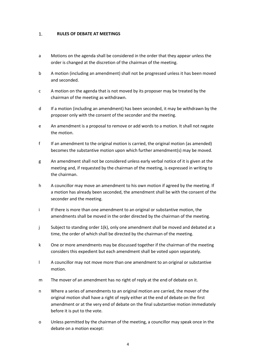#### $1.$ RULES OF DEBATE AT MEETINGS

- a Motions on the agenda shall be considered in the order that they appear unless the order is changed at the discretion of the chairman of the meeting.
- b A motion (including an amendment) shall not be progressed unless it has been moved and seconded.
- c A motion on the agenda that is not moved by its proposer may be treated by the chairman of the meeting as withdrawn.
- d If a motion (including an amendment) has been seconded, it may be withdrawn by the proposer only with the consent of the seconder and the meeting.
- e An amendment is a proposal to remove or add words to a motion. It shall not negate the motion.
- f If an amendment to the original motion is carried, the original motion (as amended) becomes the substantive motion upon which further amendment(s) may be moved.
- g An amendment shall not be considered unless early verbal notice of it is given at the meeting and, if requested by the chairman of the meeting, is expressed in writing to the chairman.
- h A councillor may move an amendment to his own motion if agreed by the meeting. If a motion has already been seconded, the amendment shall be with the consent of the seconder and the meeting.
- i If there is more than one amendment to an original or substantive motion, the amendments shall be moved in the order directed by the chairman of the meeting.
- j Subject to standing order 1(k), only one amendment shall be moved and debated at a time, the order of which shall be directed by the chairman of the meeting.
- k One or more amendments may be discussed together if the chairman of the meeting considers this expedient but each amendment shall be voted upon separately.
- l A councillor may not move more than one amendment to an original or substantive motion.
- m The mover of an amendment has no right of reply at the end of debate on it.
- n Where a series of amendments to an original motion are carried, the mover of the original motion shall have a right of reply either at the end of debate on the first amendment or at the very end of debate on the final substantive motion immediately before it is put to the vote.
- o Unless permitted by the chairman of the meeting, a councillor may speak once in the debate on a motion except: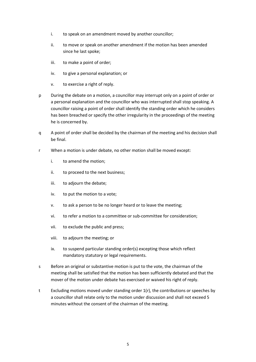- i. to speak on an amendment moved by another councillor;
- ii. to move or speak on another amendment if the motion has been amended since he last spoke;
- iii. to make a point of order;
- iv. to give a personal explanation; or
- v. to exercise a right of reply.
- p During the debate on a motion, a councillor may interrupt only on a point of order or a personal explanation and the councillor who was interrupted shall stop speaking. A councillor raising a point of order shall identify the standing order which he considers has been breached or specify the other irregularity in the proceedings of the meeting he is concerned by.
- q A point of order shall be decided by the chairman of the meeting and his decision shall be final.
- r When a motion is under debate, no other motion shall be moved except:
	- i. to amend the motion;
	- ii. to proceed to the next business;
	- iii. to adjourn the debate;
	- iv. to put the motion to a vote;
	- v. to ask a person to be no longer heard or to leave the meeting;
	- vi. to refer a motion to a committee or sub-committee for consideration;
	- vii. to exclude the public and press;
	- viii. to adjourn the meeting; or
	- ix. to suspend particular standing order(s) excepting those which reflect mandatory statutory or legal requirements.
- s Before an original or substantive motion is put to the vote, the chairman of the meeting shall be satisfied that the motion has been sufficiently debated and that the mover of the motion under debate has exercised or waived his right of reply.
- t Excluding motions moved under standing order 1(r), the contributions or speeches by a councillor shall relate only to the motion under discussion and shall not exceed 5 minutes without the consent of the chairman of the meeting.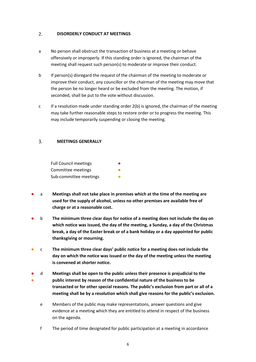#### $2.$ DISORDERLY CONDUCT AT MEETINGS

- a No person shall obstruct the transaction of business at a meeting or behave offensively or improperly. If this standing order is ignored, the chairman of the meeting shall request such person(s) to moderate or improve their conduct.
- b If person(s) disregard the request of the chairman of the meeting to moderate or improve their conduct, any councillor or the chairman of the meeting may move that the person be no longer heard or be excluded from the meeting. The motion, if seconded, shall be put to the vote without discussion.
- c If a resolution made under standing order  $2(b)$  is ignored, the chairman of the meeting may take further reasonable steps to restore order or to progress the meeting. This may include temporarily suspending or closing the meeting.

#### $3.$ MEETINGS GENERALLY

| <b>Full Council meetings</b> |  |
|------------------------------|--|
| Committee meetings           |  |
| Sub-committee meetings       |  |

- a Meetings shall not take place in premises which at the time of the meeting are used for the supply of alcohol, unless no other premises are available free of charge or at a reasonable cost.
- b The minimum three clear days for notice of a meeting does not include the day on which notice was issued, the day of the meeting, a Sunday, a day of the Christmas break, a day of the Easter break or of a bank holiday or a day appointed for public thanksgiving or mourning.
- c The minimum three clear days' public notice for a meeting does not include the day on which the notice was issued or the day of the meeting unless the meeting is convened at shorter notice.
- ● d Meetings shall be open to the public unless their presence is prejudicial to the public interest by reason of the confidential nature of the business to be transacted or for other special reasons. The public's exclusion from part or all of a meeting shall be by a resolution which shall give reasons for the public's exclusion.
	- e Members of the public may make representations, answer questions and give evidence at a meeting which they are entitled to attend in respect of the business on the agenda.
	- f The period of time designated for public participation at a meeting in accordance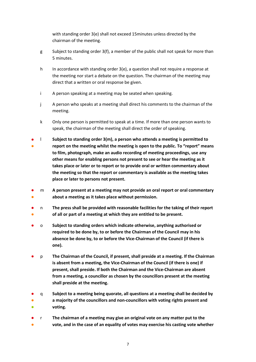with standing order 3(e) shall not exceed 15minutes unless directed by the chairman of the meeting.

- g Subject to standing order 3(f), a member of the public shall not speak for more than 5 minutes.
- h In accordance with standing order 3(e), a question shall not require a response at the meeting nor start a debate on the question. The chairman of the meeting may direct that a written or oral response be given.
- i A person speaking at a meeting may be seated when speaking.
- j A person who speaks at a meeting shall direct his comments to the chairman of the meeting.
- k Only one person is permitted to speak at a time. If more than one person wants to speak, the chairman of the meeting shall direct the order of speaking.
- ● l Subject to standing order 3(m), a person who attends a meeting is permitted to report on the meeting whilst the meeting is open to the public. To "report" means to film, photograph, make an audio recording of meeting proceedings, use any other means for enabling persons not present to see or hear the meeting as it takes place or later or to report or to provide oral or written commentary about the meeting so that the report or commentary is available as the meeting takes place or later to persons not present.
- ● m A person present at a meeting may not provide an oral report or oral commentary about a meeting as it takes place without permission.
- ● n The press shall be provided with reasonable facilities for the taking of their report of all or part of a meeting at which they are entitled to be present.
- o Subject to standing orders which indicate otherwise, anything authorised or required to be done by, to or before the Chairman of the Council may in his absence be done by, to or before the Vice-Chairman of the Council (if there is one).
- p The Chairman of the Council, if present, shall preside at a meeting. If the Chairman is absent from a meeting, the Vice-Chairman of the Council (if there is one) if present, shall preside. If both the Chairman and the Vice-Chairman are absent from a meeting, a councillor as chosen by the councillors present at the meeting shall preside at the meeting.
- ● q Subject to a meeting being quorate, all questions at a meeting shall be decided by a majority of the councillors and non-councillors with voting rights present and
- **。** voting.
- r The chairman of a meeting may give an original vote on any matter put to the
- vote, and in the case of an equality of votes may exercise his casting vote whether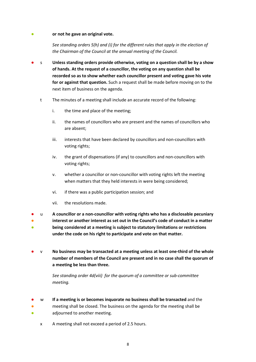## ● or not he gave an original vote.

See standing orders 5(h) and (i) for the different rules that apply in the election of the Chairman of the Council at the annual meeting of the Council.

- s Unless standing orders provide otherwise, voting on a question shall be by a show of hands. At the request of a councillor, the voting on any question shall be recorded so as to show whether each councillor present and voting gave his vote for or against that question. Such a request shall be made before moving on to the next item of business on the agenda.
	- t The minutes of a meeting shall include an accurate record of the following:
		- i. the time and place of the meeting;
		- ii. the names of councillors who are present and the names of councillors who are absent;
		- iii. interests that have been declared by councillors and non-councillors with voting rights;
		- iv. the grant of dispensations (if any) to councillors and non-councillors with voting rights;
		- v. whether a councillor or non-councillor with voting rights left the meeting when matters that they held interests in were being considered;
		- vi. if there was a public participation session; and
		- vii. the resolutions made.
- u A councillor or a non-councillor with voting rights who has a disclosable pecuniary
- ● interest or another interest as set out in the Council's code of conduct in a matter being considered at a meeting is subject to statutory limitations or restrictions under the code on his right to participate and vote on that matter.
- $v$  No business may be transacted at a meeting unless at least one-third of the whole number of members of the Council are present and in no case shall the quorum of a meeting be less than three.

See standing order 4d(viii) for the quorum of a committee or sub-committee meeting.

- ● w If a meeting is or becomes inquorate no business shall be transacted and the meeting shall be closed. The business on the agenda for the meeting shall be
- adjourned to another meeting.
	- x A meeting shall not exceed a period of 2.5 hours.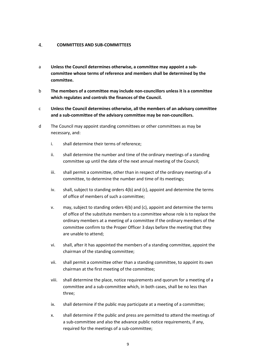#### $\overline{4}$ . COMMITTEES AND SUB-COMMITTEES

- a Unless the Council determines otherwise, a committee may appoint a subcommittee whose terms of reference and members shall be determined by the committee.
- b The members of a committee may include non-councillors unless it is a committee which regulates and controls the finances of the Council.
- c Unless the Council determines otherwise, all the members of an advisory committee and a sub-committee of the advisory committee may be non-councillors.
- d The Council may appoint standing committees or other committees as may be necessary, and:
	- i. shall determine their terms of reference;
	- ii. shall determine the number and time of the ordinary meetings of a standing committee up until the date of the next annual meeting of the Council;
	- iii. shall permit a committee, other than in respect of the ordinary meetings of a committee, to determine the number and time of its meetings;
	- iv. shall, subject to standing orders 4(b) and (c), appoint and determine the terms of office of members of such a committee;
	- v. may, subject to standing orders 4(b) and (c), appoint and determine the terms of office of the substitute members to a committee whose role is to replace the ordinary members at a meeting of a committee if the ordinary members of the committee confirm to the Proper Officer 3 days before the meeting that they are unable to attend;
	- vi. shall, after it has appointed the members of a standing committee, appoint the chairman of the standing committee;
	- vii. shall permit a committee other than a standing committee, to appoint its own chairman at the first meeting of the committee;
	- viii. shall determine the place, notice requirements and quorum for a meeting of a committee and a sub-committee which, in both cases, shall be no less than three;
	- ix. shall determine if the public may participate at a meeting of a committee;
	- x. shall determine if the public and press are permitted to attend the meetings of a sub-committee and also the advance public notice requirements, if any, required for the meetings of a sub-committee;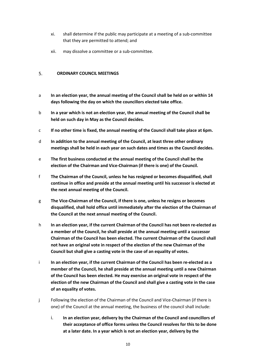- xi. shall determine if the public may participate at a meeting of a sub-committee that they are permitted to attend; and
- xii. may dissolve a committee or a sub-committee.

#### ORDINARY COUNCIL MEETINGS 5.

- a In an election year, the annual meeting of the Council shall be held on or within 14 days following the day on which the councillors elected take office.
- b In a year which is not an election year, the annual meeting of the Council shall be held on such day in May as the Council decides.
- c If no other time is fixed, the annual meeting of the Council shall take place at 6pm.
- d In addition to the annual meeting of the Council, at least three other ordinary meetings shall be held in each year on such dates and times as the Council decides.
- e The first business conducted at the annual meeting of the Council shall be the election of the Chairman and Vice-Chairman (if there is one) of the Council.
- f The Chairman of the Council, unless he has resigned or becomes disqualified, shall continue in office and preside at the annual meeting until his successor is elected at the next annual meeting of the Council.
- g The Vice-Chairman of the Council, if there is one, unless he resigns or becomes disqualified, shall hold office until immediately after the election of the Chairman of the Council at the next annual meeting of the Council.
- h In an election year, if the current Chairman of the Council has not been re-elected as a member of the Council, he shall preside at the annual meeting until a successor Chairman of the Council has been elected. The current Chairman of the Council shall not have an original vote in respect of the election of the new Chairman of the Council but shall give a casting vote in the case of an equality of votes.
- i In an election year, if the current Chairman of the Council has been re-elected as a member of the Council, he shall preside at the annual meeting until a new Chairman of the Council has been elected. He may exercise an original vote in respect of the election of the new Chairman of the Council and shall give a casting vote in the case of an equality of votes.
- j Following the election of the Chairman of the Council and Vice-Chairman (if there is one) of the Council at the annual meeting, the business of the council shall include:
	- i. In an election year, delivery by the Chairman of the Council and councillors of their acceptance of office forms unless the Council resolves for this to be done at a later date. In a year which is not an election year, delivery by the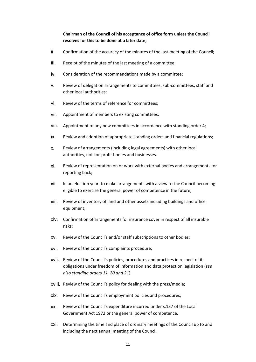# Chairman of the Council of his acceptance of office form unless the Council resolves for this to be done at a later date;

- ii. Confirmation of the accuracy of the minutes of the last meeting of the Council;
- iii. Receipt of the minutes of the last meeting of a committee;
- iv. Consideration of the recommendations made by a committee;
- v. Review of delegation arrangements to committees, sub-committees, staff and other local authorities;
- vi. Review of the terms of reference for committees;
- vii. Appointment of members to existing committees;
- viii. Appointment of any new committees in accordance with standing order 4;
- ix. Review and adoption of appropriate standing orders and financial regulations;
- x. Review of arrangements (including legal agreements) with other local authorities, not-for-profit bodies and businesses.
- xi. Review of representation on or work with external bodies and arrangements for reporting back;
- xii. In an election year, to make arrangements with a view to the Council becoming eligible to exercise the general power of competence in the future;
- xiii. Review of inventory of land and other assets including buildings and office equipment;
- xiv. Confirmation of arrangements for insurance cover in respect of all insurable risks;
- xv. Review of the Council's and/or staff subscriptions to other bodies;
- xvi. Review of the Council's complaints procedure;
- xvii. Review of the Council's policies, procedures and practices in respect of its obligations under freedom of information and data protection legislation (see also standing orders 11, 20 and 21);
- xviii. Review of the Council's policy for dealing with the press/media;
- xix. Review of the Council's employment policies and procedures;
- xx. Review of the Council's expenditure incurred under s.137 of the Local Government Act 1972 or the general power of competence.
- xxi. Determining the time and place of ordinary meetings of the Council up to and including the next annual meeting of the Council.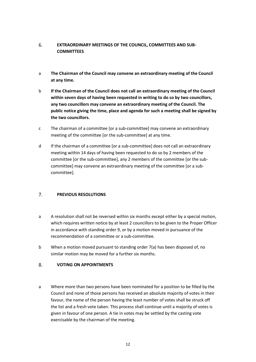## 6. EXTRAORDINARY MEETINGS OF THE COUNCIL, COMMITTEES AND SUB-**COMMITTEES**

- a The Chairman of the Council may convene an extraordinary meeting of the Council at any time.
- b If the Chairman of the Council does not call an extraordinary meeting of the Council within seven days of having been requested in writing to do so by two councillors, any two councillors may convene an extraordinary meeting of the Council. The public notice giving the time, place and agenda for such a meeting shall be signed by the two councillors.
- c The chairman of a committee [or a sub-committee] may convene an extraordinary meeting of the committee [or the sub-committee] at any time.
- d If the chairman of a committee [or a sub-committee] does not call an extraordinary meeting within 14 days of having been requested to do so by 2 members of the committee [or the sub-committee], any 2 members of the committee [or the subcommittee] may convene an extraordinary meeting of the committee [or a subcommittee].

#### $7<sub>1</sub>$ PREVIOUS RESOLUTIONS

- a A resolution shall not be reversed within six months except either by a special motion, which requires written notice by at least 2 councillors to be given to the Proper Officer in accordance with standing order 9, or by a motion moved in pursuance of the recommendation of a committee or a sub-committee.
- b When a motion moved pursuant to standing order 7(a) has been disposed of, no similar motion may be moved for a further six months.

#### 8. VOTING ON APPOINTMENTS

a Where more than two persons have been nominated for a position to be filled by the Council and none of those persons has received an absolute majority of votes in their favour, the name of the person having the least number of votes shall be struck off the list and a fresh vote taken. This process shall continue until a majority of votes is given in favour of one person. A tie in votes may be settled by the casting vote exercisable by the chairman of the meeting.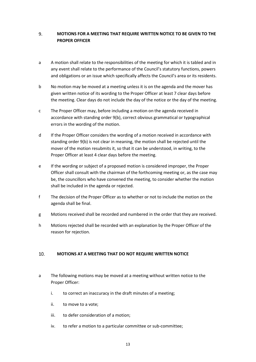### 9. MOTIONS FOR A MEETING THAT REQUIRE WRITTEN NOTICE TO BE GIVEN TO THE PROPER OFFICER

- a A motion shall relate to the responsibilities of the meeting for which it is tabled and in any event shall relate to the performance of the Council's statutory functions, powers and obligations or an issue which specifically affects the Council's area or its residents.
- b No motion may be moved at a meeting unless it is on the agenda and the mover has given written notice of its wording to the Proper Officer at least 7 clear days before the meeting. Clear days do not include the day of the notice or the day of the meeting.
- c The Proper Officer may, before including a motion on the agenda received in accordance with standing order 9(b), correct obvious grammatical or typographical errors in the wording of the motion.
- d If the Proper Officer considers the wording of a motion received in accordance with standing order 9(b) is not clear in meaning, the motion shall be rejected until the mover of the motion resubmits it, so that it can be understood, in writing, to the Proper Officer at least 4 clear days before the meeting.
- e If the wording or subject of a proposed motion is considered improper, the Proper Officer shall consult with the chairman of the forthcoming meeting or, as the case may be, the councillors who have convened the meeting, to consider whether the motion shall be included in the agenda or rejected.
- f The decision of the Proper Officer as to whether or not to include the motion on the agenda shall be final.
- g Motions received shall be recorded and numbered in the order that they are received.
- h Motions rejected shall be recorded with an explanation by the Proper Officer of the reason for rejection.

#### 10. MOTIONS AT A MEETING THAT DO NOT REQUIRE WRITTEN NOTICE

- a The following motions may be moved at a meeting without written notice to the Proper Officer:
	- i. to correct an inaccuracy in the draft minutes of a meeting;
	- ii. to move to a vote;
	- iii. to defer consideration of a motion;
	- iv. to refer a motion to a particular committee or sub-committee;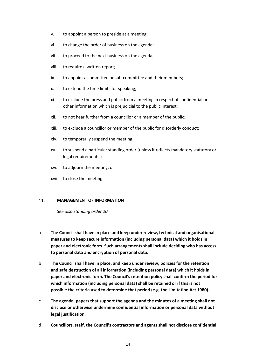- v. to appoint a person to preside at a meeting;
- vi. to change the order of business on the agenda;
- vii. to proceed to the next business on the agenda;
- viii. to require a written report;
- ix. to appoint a committee or sub-committee and their members;
- x. to extend the time limits for speaking;
- xi. to exclude the press and public from a meeting in respect of confidential or other information which is prejudicial to the public interest;
- xii. to not hear further from a councillor or a member of the public;
- xiii. to exclude a councillor or member of the public for disorderly conduct;
- xiv. to temporarily suspend the meeting;
- xv. to suspend a particular standing order (unless it reflects mandatory statutory or legal requirements);
- xvi. to adjourn the meeting; or
- xvii. to close the meeting.

#### 11. MANAGEMENT OF INFORMATION

See also standing order 20.

- a The Council shall have in place and keep under review, technical and organisational measures to keep secure information (including personal data) which it holds in paper and electronic form. Such arrangements shall include deciding who has access to personal data and encryption of personal data.
- b The Council shall have in place, and keep under review, policies for the retention and safe destruction of all information (including personal data) which it holds in paper and electronic form. The Council's retention policy shall confirm the period for which information (including personal data) shall be retained or if this is not possible the criteria used to determine that period (e.g. the Limitation Act 1980).
- c The agenda, papers that support the agenda and the minutes of a meeting shall not disclose or otherwise undermine confidential information or personal data without legal justification.
- d Councillors, staff, the Council's contractors and agents shall not disclose confidential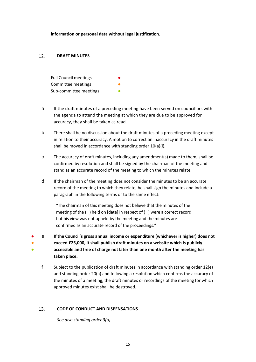information or personal data without legal justification.

#### $12.$ DRAFT MINUTES

| <b>Full Council meetings</b> |  |
|------------------------------|--|
| Committee meetings           |  |
| Sub-committee meetings       |  |

- a If the draft minutes of a preceding meeting have been served on councillors with the agenda to attend the meeting at which they are due to be approved for accuracy, they shall be taken as read.
- b There shall be no discussion about the draft minutes of a preceding meeting except in relation to their accuracy. A motion to correct an inaccuracy in the draft minutes shall be moved in accordance with standing order 10(a)(i).
- c The accuracy of draft minutes, including any amendment(s) made to them, shall be confirmed by resolution and shall be signed by the chairman of the meeting and stand as an accurate record of the meeting to which the minutes relate.
- d If the chairman of the meeting does not consider the minutes to be an accurate record of the meeting to which they relate, he shall sign the minutes and include a paragraph in the following terms or to the same effect:

"The chairman of this meeting does not believe that the minutes of the meeting of the ( ) held on [date] in respect of ( ) were a correct record but his view was not upheld by the meeting and the minutes are confirmed as an accurate record of the proceedings."

- ● ● e If the Council's gross annual income or expenditure (whichever is higher) does not exceed £25,000, it shall publish draft minutes on a website which is publicly accessible and free of charge not later than one month after the meeting has taken place.
	- f Subject to the publication of draft minutes in accordance with standing order 12(e) and standing order 20(a) and following a resolution which confirms the accuracy of the minutes of a meeting, the draft minutes or recordings of the meeting for which approved minutes exist shall be destroyed.

#### 13. CODE OF CONDUCT AND DISPENSATIONS

See also standing order 3(u).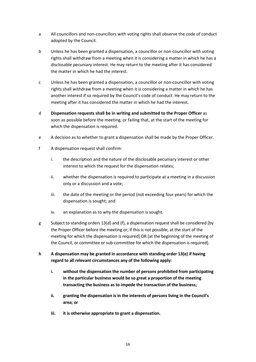- a All councillors and non-councillors with voting rights shall observe the code of conduct adopted by the Council.
- b Unless he has been granted a dispensation, a councillor or non-councillor with voting rights shall withdraw from a meeting when it is considering a matter in which he has a disclosable pecuniary interest. He may return to the meeting after it has considered the matter in which he had the interest.
- c Unless he has been granted a dispensation, a councillor or non-councillor with voting rights shall withdraw from a meeting when it is considering a matter in which he has another interest if so required by the Council's code of conduct. He may return to the meeting after it has considered the matter in which he had the interest.
- d Dispensation requests shall be in writing and submitted to the Proper Officer as soon as possible before the meeting, or failing that, at the start of the meeting for which the dispensation is required.
- e A decision as to whether to grant a dispensation shall be made by the Proper Officer.
- f A dispensation request shall confirm:
	- i. the description and the nature of the disclosable pecuniary interest or other interest to which the request for the dispensation relates;
	- ii. whether the dispensation is required to participate at a meeting in a discussion only or a discussion and a vote;
	- iii. the date of the meeting or the period (not exceeding four years) for which the dispensation is sought; and
	- iv. an explanation as to why the dispensation is sought.
- g Subject to standing orders 13(d) and (f), a dispensation request shall be considered [by the Proper Officer before the meeting or, if this is not possible, at the start of the meeting for which the dispensation is required] OR [at the beginning of the meeting of the Council, or committee or sub-committee for which the dispensation is required].
- h A dispensation may be granted in accordance with standing order 13(e) if having regard to all relevant circumstances any of the following apply:
	- i. without the dispensation the number of persons prohibited from participating in the particular business would be so great a proportion of the meeting transacting the business as to impede the transaction of the business;
	- ii. granting the dispensation is in the interests of persons living in the Council's area; or
	- iii. it is otherwise appropriate to grant a dispensation.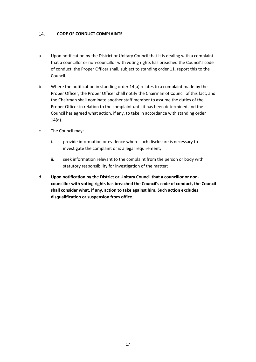#### 14. CODE OF CONDUCT COMPLAINTS

- a Upon notification by the District or Unitary Council that it is dealing with a complaint that a councillor or non-councillor with voting rights has breached the Council's code of conduct, the Proper Officer shall, subject to standing order 11, report this to the Council.
- b Where the notification in standing order 14(a) relates to a complaint made by the Proper Officer, the Proper Officer shall notify the Chairman of Council of this fact, and the Chairman shall nominate another staff member to assume the duties of the Proper Officer in relation to the complaint until it has been determined and the Council has agreed what action, if any, to take in accordance with standing order 14(d).
- c The Council may:
	- i. provide information or evidence where such disclosure is necessary to investigate the complaint or is a legal requirement;
	- ii. seek information relevant to the complaint from the person or body with statutory responsibility for investigation of the matter;
- d Upon notification by the District or Unitary Council that a councillor or noncouncillor with voting rights has breached the Council's code of conduct, the Council shall consider what, if any, action to take against him. Such action excludes disqualification or suspension from office.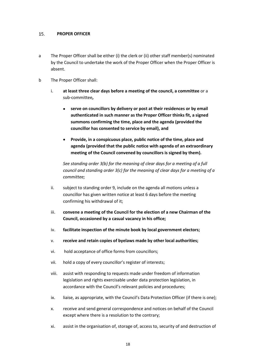#### 15. PROPER OFFICER

- a The Proper Officer shall be either (i) the clerk or (ii) other staff member(s) nominated by the Council to undertake the work of the Proper Officer when the Proper Officer is absent.
- b The Proper Officer shall:
	- i. at least three clear days before a meeting of the council, a committee or a sub-committee,
		- serve on councillors by delivery or post at their residences or by email authenticated in such manner as the Proper Officer thinks fit, a signed summons confirming the time, place and the agenda (provided the councillor has consented to service by email), and
		- Provide, in a conspicuous place, public notice of the time, place and agenda (provided that the public notice with agenda of an extraordinary meeting of the Council convened by councillors is signed by them).

See standing order 3(b) for the meaning of clear days for a meeting of a full council and standing order 3(c) for the meaning of clear days for a meeting of a committee;

- ii. subject to standing order 9, include on the agenda all motions unless a councillor has given written notice at least 6 days before the meeting confirming his withdrawal of it;
- iii. convene a meeting of the Council for the election of a new Chairman of the Council, occasioned by a casual vacancy in his office;
- iv. facilitate inspection of the minute book by local government electors;
- v. receive and retain copies of byelaws made by other local authorities;
- vi. hold acceptance of office forms from councillors;
- vii. hold a copy of every councillor's register of interests;
- viii. assist with responding to requests made under freedom of information legislation and rights exercisable under data protection legislation, in accordance with the Council's relevant policies and procedures;
- ix. liaise, as appropriate, with the Council's Data Protection Officer (if there is one);
- x. receive and send general correspondence and notices on behalf of the Council except where there is a resolution to the contrary;
- xi. assist in the organisation of, storage of, access to, security of and destruction of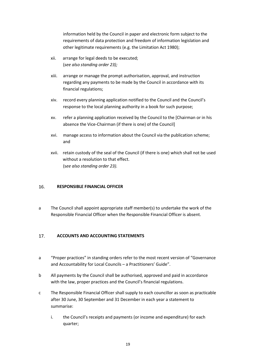information held by the Council in paper and electronic form subject to the requirements of data protection and freedom of information legislation and other legitimate requirements (e.g. the Limitation Act 1980);

- xii. arrange for legal deeds to be executed; (see also standing order 23);
- xiii. arrange or manage the prompt authorisation, approval, and instruction regarding any payments to be made by the Council in accordance with its financial regulations;
- xiv. record every planning application notified to the Council and the Council's response to the local planning authority in a book for such purpose;
- xv. refer a planning application received by the Council to the [Chairman or in his absence the Vice-Chairman (if there is one) of the Council]
- xvi. manage access to information about the Council via the publication scheme; and
- xvii. retain custody of the seal of the Council (if there is one) which shall not be used without a resolution to that effect. (see also standing order 23).

#### 16. RESPONSIBLE FINANCIAL OFFICER

a The Council shall appoint appropriate staff member(s) to undertake the work of the Responsible Financial Officer when the Responsible Financial Officer is absent.

#### 17. ACCOUNTS AND ACCOUNTING STATEMENTS

- a "Proper practices" in standing orders refer to the most recent version of "Governance and Accountability for Local Councils – a Practitioners' Guide".
- b All payments by the Council shall be authorised, approved and paid in accordance with the law, proper practices and the Council's financial regulations.
- c The Responsible Financial Officer shall supply to each councillor as soon as practicable after 30 June, 30 September and 31 December in each year a statement to summarise:
	- i. the Council's receipts and payments (or income and expenditure) for each quarter;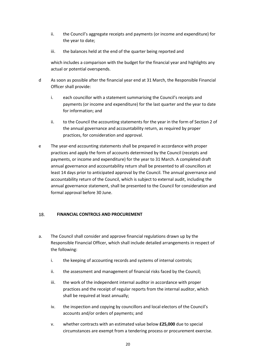- ii. the Council's aggregate receipts and payments (or income and expenditure) for the year to date;
- iii. the balances held at the end of the quarter being reported and

which includes a comparison with the budget for the financial year and highlights any actual or potential overspends.

- d As soon as possible after the financial year end at 31 March, the Responsible Financial Officer shall provide:
	- i. each councillor with a statement summarising the Council's receipts and payments (or income and expenditure) for the last quarter and the year to date for information; and
	- ii. to the Council the accounting statements for the year in the form of Section 2 of the annual governance and accountability return, as required by proper practices, for consideration and approval.
- e The year-end accounting statements shall be prepared in accordance with proper practices and apply the form of accounts determined by the Council (receipts and payments, or income and expenditure) for the year to 31 March. A completed draft annual governance and accountability return shall be presented to all councillors at least 14 days prior to anticipated approval by the Council. The annual governance and accountability return of the Council, which is subject to external audit, including the annual governance statement, shall be presented to the Council for consideration and formal approval before 30 June.

#### 18. FINANCIAL CONTROLS AND PROCUREMENT

- a. The Council shall consider and approve financial regulations drawn up by the Responsible Financial Officer, which shall include detailed arrangements in respect of the following:
	- i. the keeping of accounting records and systems of internal controls;
	- ii. the assessment and management of financial risks faced by the Council;
	- iii. the work of the independent internal auditor in accordance with proper practices and the receipt of regular reports from the internal auditor, which shall be required at least annually;
	- iv. the inspection and copying by councillors and local electors of the Council's accounts and/or orders of payments; and
	- v. whether contracts with an estimated value below £25,000 due to special circumstances are exempt from a tendering process or procurement exercise.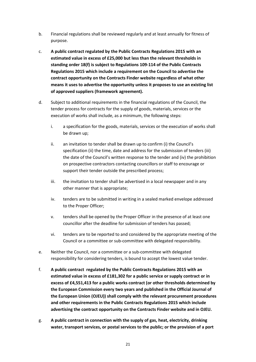- b. Financial regulations shall be reviewed regularly and at least annually for fitness of purpose.
- c. A public contract regulated by the Public Contracts Regulations 2015 with an estimated value in excess of £25,000 but less than the relevant thresholds in standing order 18(f) is subject to Regulations 109-114 of the Public Contracts Regulations 2015 which include a requirement on the Council to advertise the contract opportunity on the Contracts Finder website regardless of what other means it uses to advertise the opportunity unless it proposes to use an existing list of approved suppliers (framework agreement).
- d. Subject to additional requirements in the financial regulations of the Council, the tender process for contracts for the supply of goods, materials, services or the execution of works shall include, as a minimum, the following steps:
	- i. a specification for the goods, materials, services or the execution of works shall be drawn up;
	- ii. an invitation to tender shall be drawn up to confirm (i) the Council's specification (ii) the time, date and address for the submission of tenders (iii) the date of the Council's written response to the tender and (iv) the prohibition on prospective contractors contacting councillors or staff to encourage or support their tender outside the prescribed process;
	- iii. the invitation to tender shall be advertised in a local newspaper and in any other manner that is appropriate;
	- iv. tenders are to be submitted in writing in a sealed marked envelope addressed to the Proper Officer;
	- v. tenders shall be opened by the Proper Officer in the presence of at least one councillor after the deadline for submission of tenders has passed;
	- vi. tenders are to be reported to and considered by the appropriate meeting of the Council or a committee or sub-committee with delegated responsibility.
- e. Neither the Council, nor a committee or a sub-committee with delegated responsibility for considering tenders, is bound to accept the lowest value tender.
- f. A public contract regulated by the Public Contracts Regulations 2015 with an estimated value in excess of £181,302 for a public service or supply contract or in excess of £4,551,413 for a public works contract (or other thresholds determined by the European Commission every two years and published in the Official Journal of the European Union (OJEU)) shall comply with the relevant procurement procedures and other requirements in the Public Contracts Regulations 2015 which include advertising the contract opportunity on the Contracts Finder website and in OJEU.
- g. A public contract in connection with the supply of gas, heat, electricity, drinking water, transport services, or postal services to the public; or the provision of a port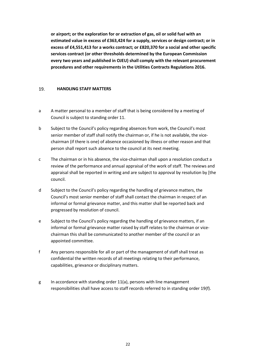or airport; or the exploration for or extraction of gas, oil or solid fuel with an estimated value in excess of £363,424 for a supply, services or design contract; or in excess of £4,551,413 for a works contract; or £820,370 for a social and other specific services contract (or other thresholds determined by the European Commission every two years and published in OJEU) shall comply with the relevant procurement procedures and other requirements in the Utilities Contracts Regulations 2016.

#### 19. HANDLING STAFF MATTERS

- a A matter personal to a member of staff that is being considered by a meeting of Council is subject to standing order 11.
- b Subject to the Council's policy regarding absences from work, the Council's most senior member of staff shall notify the chairman or, if he is not available, the vicechairman (if there is one) of absence occasioned by illness or other reason and that person shall report such absence to the council at its next meeting.
- c The chairman or in his absence, the vice-chairman shall upon a resolution conduct a review of the performance and annual appraisal of the work of staff. The reviews and appraisal shall be reported in writing and are subject to approval by resolution by [the council.
- d Subject to the Council's policy regarding the handling of grievance matters, the Council's most senior member of staff shall contact the chairman in respect of an informal or formal grievance matter, and this matter shall be reported back and progressed by resolution of council.
- e Subject to the Council's policy regarding the handling of grievance matters, if an informal or formal grievance matter raised by staff relates to the chairman or vicechairman this shall be communicated to another member of the council or an appointed committee.
- f Any persons responsible for all or part of the management of staff shall treat as confidential the written records of all meetings relating to their performance, capabilities, grievance or disciplinary matters.
- g In accordance with standing order  $11(a)$ , persons with line management responsibilities shall have access to staff records referred to in standing order 19(f).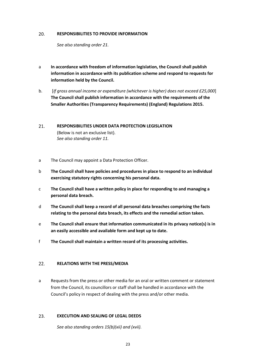#### 20. RESPONSIBILITIES TO PROVIDE INFORMATION

See also standing order 21.

- a In accordance with freedom of information legislation, the Council shall publish information in accordance with its publication scheme and respond to requests for information held by the Council.
- b. [If gross annual income or expenditure (whichever is higher) does not exceed £25,000] The Council shall publish information in accordance with the requirements of the Smaller Authorities (Transparency Requirements) (England) Regulations 2015.
- 21. RESPONSIBILITIES UNDER DATA PROTECTION LEGISLATION (Below is not an exclusive list). See also standing order 11.
- a The Council may appoint a Data Protection Officer.
- b The Council shall have policies and procedures in place to respond to an individual exercising statutory rights concerning his personal data.
- c The Council shall have a written policy in place for responding to and managing a personal data breach.
- d The Council shall keep a record of all personal data breaches comprising the facts relating to the personal data breach, its effects and the remedial action taken.
- e The Council shall ensure that information communicated in its privacy notice(s) is in an easily accessible and available form and kept up to date.
- f The Council shall maintain a written record of its processing activities.

#### RELATIONS WITH THE PRESS/MEDIA  $22.$

a Requests from the press or other media for an oral or written comment or statement from the Council, its councillors or staff shall be handled in accordance with the Council's policy in respect of dealing with the press and/or other media.

#### 23. EXECUTION AND SEALING OF LEGAL DEEDS

See also standing orders 15(b)(xii) and (xvii).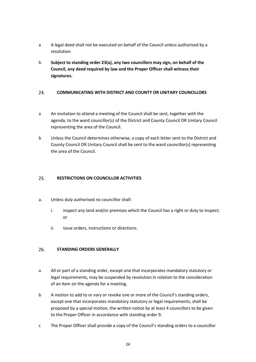- a A legal deed shall not be executed on behalf of the Council unless authorised by a resolution.
- b Subject to standing order 23(a), any two councillors may sign, on behalf of the Council, any deed required by law and the Proper Officer shall witness their signatures.

#### 24. COMMUNICATING WITH DISTRICT AND COUNTY OR UNITARY COUNCILLORS

- a An invitation to attend a meeting of the Council shall be sent, together with the agenda, to the ward councillor(s) of the District and County Council OR Unitary Council representing the area of the Council.
- b Unless the Council determines otherwise, a copy of each letter sent to the District and County Council OR Unitary Council shall be sent to the ward councillor(s) representing the area of the Council.

#### $25.$ RESTRICTIONS ON COUNCILLOR ACTIVITIES

- a. Unless duly authorised no councillor shall:
	- i. inspect any land and/or premises which the Council has a right or duty to inspect; or
	- ii. issue orders, instructions or directions.

#### 26. STANDING ORDERS GENERALLY

- a All or part of a standing order, except one that incorporates mandatory statutory or legal requirements, may be suspended by resolution in relation to the consideration of an item on the agenda for a meeting.
- b A motion to add to or vary or revoke one or more of the Council's standing orders, except one that incorporates mandatory statutory or legal requirements, shall be proposed by a special motion, the written notice by at least 4 councillors to be given to the Proper Officer in accordance with standing order 9.
- c The Proper Officer shall provide a copy of the Council's standing orders to a councillor